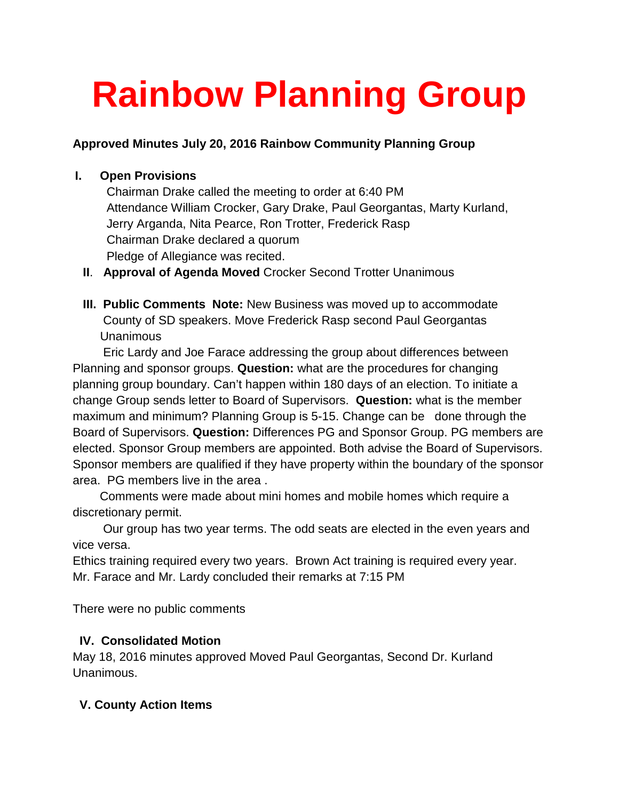# **Rainbow Planning Group**

#### **Approved Minutes July 20, 2016 Rainbow Community Planning Group**

### **I. Open Provisions**

Chairman Drake called the meeting to order at 6:40 PM Attendance William Crocker, Gary Drake, Paul Georgantas, Marty Kurland, Jerry Arganda, Nita Pearce, Ron Trotter, Frederick Rasp Chairman Drake declared a quorum Pledge of Allegiance was recited.

- **II**. **Approval of Agenda Moved** Crocker Second Trotter Unanimous
- **III. Public Comments Note:** New Business was moved up to accommodate County of SD speakers. Move Frederick Rasp second Paul Georgantas Unanimous

 Eric Lardy and Joe Farace addressing the group about differences between Planning and sponsor groups. **Question:** what are the procedures for changing planning group boundary. Can't happen within 180 days of an election. To initiate a change Group sends letter to Board of Supervisors. **Question:** what is the member maximum and minimum? Planning Group is 5-15. Change can be done through the Board of Supervisors. **Question:** Differences PG and Sponsor Group. PG members are elected. Sponsor Group members are appointed. Both advise the Board of Supervisors. Sponsor members are qualified if they have property within the boundary of the sponsor area. PG members live in the area .

 Comments were made about mini homes and mobile homes which require a discretionary permit.

 Our group has two year terms. The odd seats are elected in the even years and vice versa.

Ethics training required every two years. Brown Act training is required every year. Mr. Farace and Mr. Lardy concluded their remarks at 7:15 PM

There were no public comments

## **IV. Consolidated Motion**

May 18, 2016 minutes approved Moved Paul Georgantas, Second Dr. Kurland Unanimous.

## **V. County Action Items**